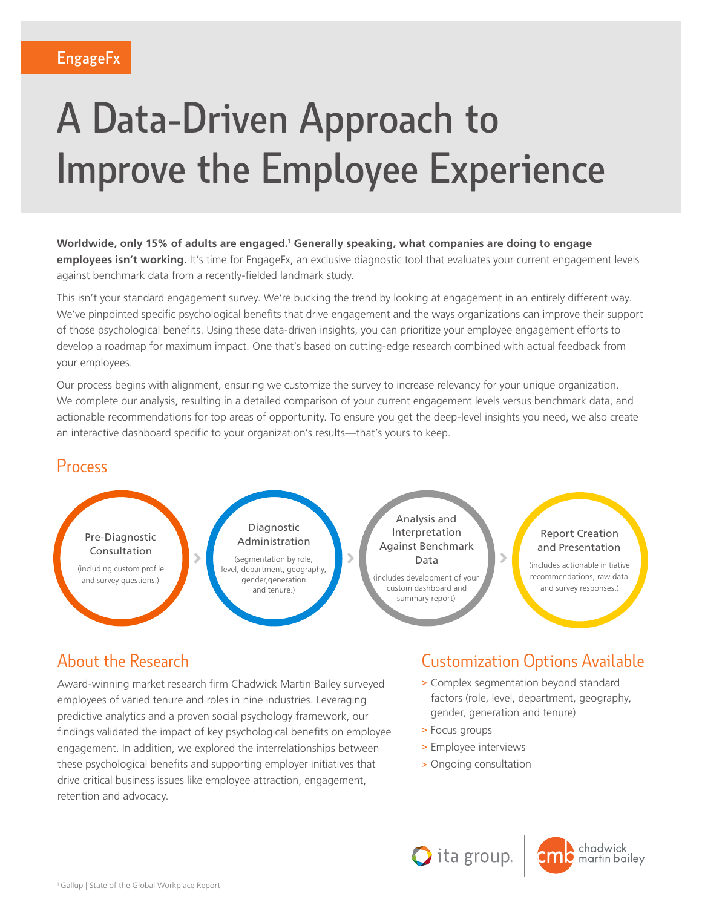# A Data-Driven Approach to Improve the Employee Experience

**Worldwide, only 15% of adults are engaged.1 Generally speaking, what companies are doing to engage employees isn't working.** It's time for EngageFx, an exclusive diagnostic tool that evaluates your current engagement levels against benchmark data from a recently-fielded landmark study.

This isn't your standard engagement survey. We're bucking the trend by looking at engagement in an entirely different way. We've pinpointed specific psychological benefits that drive engagement and the ways organizations can improve their support of those psychological benefits. Using these data-driven insights, you can prioritize your employee engagement efforts to develop a roadmap for maximum impact. One that's based on cutting-edge research combined with actual feedback from your employees.

Our process begins with alignment, ensuring we customize the survey to increase relevancy for your unique organization. We complete our analysis, resulting in a detailed comparison of your current engagement levels versus benchmark data, and actionable recommendations for top areas of opportunity. To ensure you get the deep-level insights you need, we also create an interactive dashboard specific to your organization's results—that's yours to keep.

#### Process



### About the Research

Award-winning market research firm Chadwick Martin Bailey surveyed employees of varied tenure and roles in nine industries. Leveraging predictive analytics and a proven social psychology framework, our findings validated the impact of key psychological benefits on employee engagement. In addition, we explored the interrelationships between these psychological benefits and supporting employer initiatives that drive critical business issues like employee attraction, engagement, retention and advocacy.

# Customization Options Available

- > Complex segmentation beyond standard factors (role, level, department, geography, gender, generation and tenure)
- > Focus groups
- > Employee interviews
- > Ongoing consultation